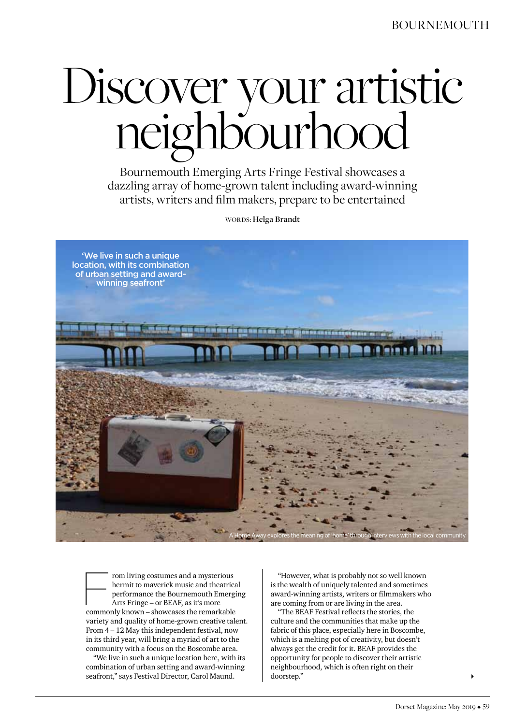# Discover your artistic neighbourhood

Bournemouth Emerging Arts Fringe Festival showcases a dazzling array of home-grown talent including award-winning artists, writers and film makers, prepare to be entertained

Words: **Helga Brandt**



rom living costumes and a mysterious hermit to maverick music and theatrical performance the Bournemouth Emerging Arts Fringe – or BEAF, as it's more commonly known – showcases the remarkable variety and quality of home-grown creative talent. From 4 – 12 May this independent festival, now in its third year, will bring a myriad of art to the community with a focus on the Boscombe area.

"We live in such a unique location here, with its combination of urban setting and award-winning seafront," says Festival Director, Carol Maund.

"However, what is probably not so well known is the wealth of uniquely talented and sometimes award-winning artists, writers or filmmakers who are coming from or are living in the area.

"The BEAF Festival reflects the stories, the culture and the communities that make up the fabric of this place, especially here in Boscombe, which is a melting pot of creativity, but doesn't always get the credit for it. BEAF provides the opportunity for people to discover their artistic neighbourhood, which is often right on their doorstep."

 $\blacktriangleright$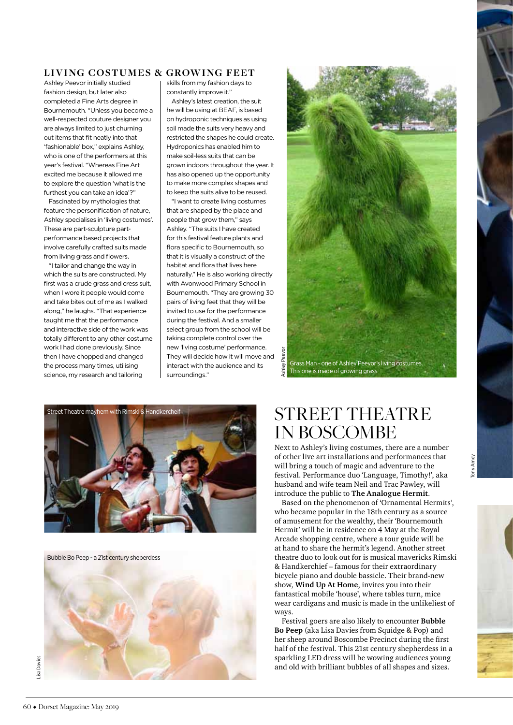### LIVING COSTUMES & GROWING FEET

Ashley Peevor initially studied fashion design, but later also completed a Fine Arts degree in Bournemouth. "Unless you become a well-respected couture designer you are always limited to just churning out items that fit neatly into that 'fashionable' box," explains Ashley, who is one of the performers at this year's festival. "Whereas Fine Art excited me because it allowed me to explore the question 'what is the furthest you can take an idea'?"

Fascinated by mythologies that feature the personification of nature, Ashley specialises in 'living costumes'. These are part-sculpture partperformance based projects that involve carefully crafted suits made from living grass and flowers.

"I tailor and change the way in which the suits are constructed. My first was a crude grass and cress suit. when I wore it people would come and take bites out of me as I walked along," he laughs. "That experience taught me that the performance and interactive side of the work was totally different to any other costume work I had done previously. Since then I have chopped and changed the process many times, utilising science, my research and tailoring

skills from my fashion days to constantly improve it."

Ashley's latest creation, the suit he will be using at BEAF, is based on hydroponic techniques as using soil made the suits very heavy and restricted the shapes he could create. Hydroponics has enabled him to make soil-less suits that can be grown indoors throughout the year. It has also opened up the opportunity to make more complex shapes and to keep the suits alive to be reused.

"I want to create living costumes that are shaped by the place and people that grow them," says Ashley. "The suits I have created for this festival feature plants and flora specific to Bournemouth, so that it is visually a construct of the habitat and flora that lives here naturally." He is also working directly with Avonwood Primary School in Bournemouth. "They are growing 30 pairs of living feet that they will be invited to use for the performance during the festival. And a smaller select group from the school will be taking complete control over the new 'living costume' performance. They will decide how it will move and interact with the audience and its surroundings."





Bubble Bo Peep - a 21st century sheperdess



## STREET THEATRE IN BOSCOMBE

Next to Ashley's living costumes, there are a number of other live art installations and performances that will bring a touch of magic and adventure to the festival. Performance duo 'Language, Timothy!', aka husband and wife team Neil and Trac Pawley, will introduce the public to **The Analogue Hermit**.

Based on the phenomenon of 'Ornamental Hermits', who became popular in the 18th century as a source of amusement for the wealthy, their 'Bournemouth Hermit' will be in residence on 4 May at the Royal Arcade shopping centre, where a tour guide will be at hand to share the hermit's legend. Another street theatre duo to look out for is musical mavericks Rimski & Handkerchief – famous for their extraordinary bicycle piano and double bassicle. Their brand-new show, **Wind Up At Home**, invites you into their fantastical mobile 'house', where tables turn, mice wear cardigans and music is made in the unlikeliest of ways.

Festival goers are also likely to encounter **Bubble Bo Peep** (aka Lisa Davies from Squidge & Pop) and her sheep around Boscombe Precinct during the first half of the festival. This 21st century shepherdess in a sparkling LED dress will be wowing audiences young and old with brilliant bubbles of all shapes and sizes.

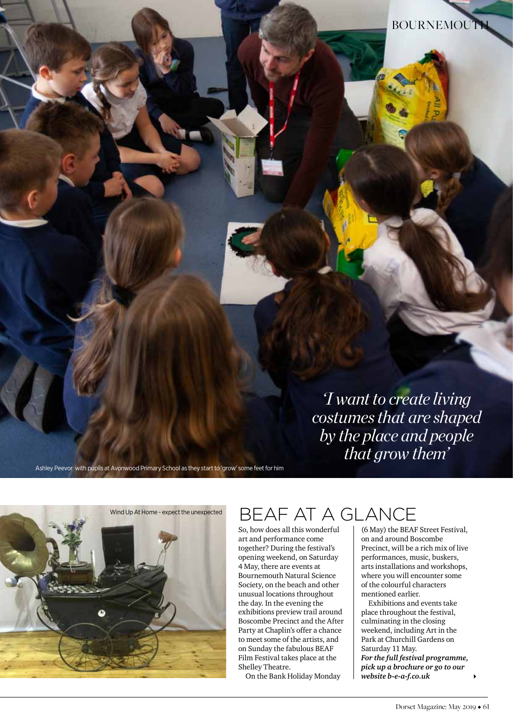*'I want to create living costumes that are shaped by the place and people that grow them'*

Ashley Peevor with pupils at Avonwood Primary School as they start to 'grow' some feet for him

# $W$ ind Up At Home - expect the unexpected  $BEAFATA GLANCE$

So, how does all this wonderful art and performance come together? During the festival's opening weekend, on Saturday 4 May, there are events at Bournemouth Natural Science Society, on the beach and other unusual locations throughout the day. In the evening the exhibitions preview trail around Boscombe Precinct and the After Party at Chaplin's offer a chance to meet some of the artists, and on Sunday the fabulous BEAF Film Festival takes place at the Shelley Theatre.

On the Bank Holiday Monday

(6 May) the BEAF Street Festival, on and around Boscombe Precinct, will be a rich mix of live performances, music, buskers, arts installations and workshops, where you will encounter some of the colourful characters mentioned earlier.

Exhibitions and events take place throughout the festival, culminating in the closing weekend, including Art in the Park at Churchill Gardens on Saturday 11 May. *For the full festival programme, pick up a brochure or go to our website b-e-a-f.co.uk*

 $\blacktriangleright$